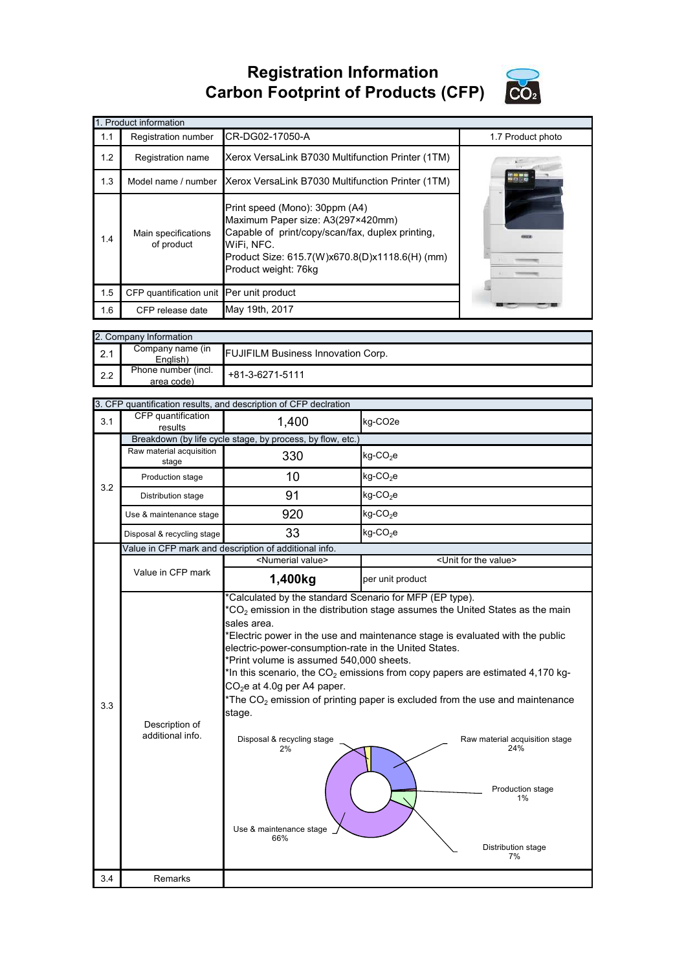**Registration Information Carbon Footprint of Products (CFP)**



|     | 1. Product information                   |                                                                                                                                                                                                                 |                   |
|-----|------------------------------------------|-----------------------------------------------------------------------------------------------------------------------------------------------------------------------------------------------------------------|-------------------|
| 1.1 | Registration number                      | CR-DG02-17050-A                                                                                                                                                                                                 | 1.7 Product photo |
| 1.2 | Registration name                        | Xerox VersaLink B7030 Multifunction Printer (1TM)                                                                                                                                                               |                   |
| 1.3 |                                          | Model name / number   Xerox VersaLink B7030 Multifunction Printer (1TM)                                                                                                                                         |                   |
| 1.4 | Main specifications<br>of product        | Print speed (Mono): 30ppm (A4)<br>Maximum Paper size: A3(297×420mm)<br>Capable of print/copy/scan/fax, duplex printing,<br>WiFi, NFC.<br>Product Size: 615.7(W)x670.8(D)x1118.6(H) (mm)<br>Product weight: 76kg |                   |
| 1.5 | CFP quantification unit Per unit product |                                                                                                                                                                                                                 |                   |
| 1.6 | CFP release date                         | May 19th, 2017                                                                                                                                                                                                  |                   |

|     | 2. Company Information            |                                           |
|-----|-----------------------------------|-------------------------------------------|
| 2.1 | Company name (in<br>English)      | <b>FUJIFILM Business Innovation Corp.</b> |
| 2.2 | Phone number (incl.<br>area code) | $+81-3-6271-5111$                         |

|     |                                    | 3. CFP quantification results, and description of CFP declration                                                                                                                                                                                                                            |                                                                                                                                                                                                                                                                                                                                                                                                                                                |
|-----|------------------------------------|---------------------------------------------------------------------------------------------------------------------------------------------------------------------------------------------------------------------------------------------------------------------------------------------|------------------------------------------------------------------------------------------------------------------------------------------------------------------------------------------------------------------------------------------------------------------------------------------------------------------------------------------------------------------------------------------------------------------------------------------------|
| 3.1 | CFP quantification<br>results      | 1,400                                                                                                                                                                                                                                                                                       | kg-CO <sub>2e</sub>                                                                                                                                                                                                                                                                                                                                                                                                                            |
|     |                                    | Breakdown (by life cycle stage, by process, by flow, etc.)                                                                                                                                                                                                                                  |                                                                                                                                                                                                                                                                                                                                                                                                                                                |
|     | Raw material acquisition<br>stage  | 330                                                                                                                                                                                                                                                                                         | $kg$ -CO <sub>2</sub> e                                                                                                                                                                                                                                                                                                                                                                                                                        |
| 3.2 | Production stage                   | 10                                                                                                                                                                                                                                                                                          | $kg$ -CO <sub>2</sub> e                                                                                                                                                                                                                                                                                                                                                                                                                        |
|     | Distribution stage                 | 91                                                                                                                                                                                                                                                                                          | $kg$ -CO <sub>2</sub> e                                                                                                                                                                                                                                                                                                                                                                                                                        |
|     | Use & maintenance stage            | 920                                                                                                                                                                                                                                                                                         | $kg$ -CO <sub>2</sub> e                                                                                                                                                                                                                                                                                                                                                                                                                        |
|     | Disposal & recycling stage         | 33                                                                                                                                                                                                                                                                                          | $kg$ -CO <sub>2</sub> e                                                                                                                                                                                                                                                                                                                                                                                                                        |
|     |                                    | Value in CFP mark and description of additional info.                                                                                                                                                                                                                                       |                                                                                                                                                                                                                                                                                                                                                                                                                                                |
|     |                                    | <numerial value=""></numerial>                                                                                                                                                                                                                                                              | <unit for="" the="" value=""></unit>                                                                                                                                                                                                                                                                                                                                                                                                           |
|     | Value in CFP mark                  | 1,400kg                                                                                                                                                                                                                                                                                     | per unit product                                                                                                                                                                                                                                                                                                                                                                                                                               |
| 3.3 | Description of<br>additional info. | *Calculated by the standard Scenario for MFP (EP type).<br>sales area.<br>electric-power-consumption-rate in the United States.<br>*Print volume is assumed 540,000 sheets.<br>$CO2e$ at 4.0g per A4 paper.<br>stage.<br>Disposal & recycling stage<br>2%<br>Use & maintenance stage<br>66% | $*CO2$ emission in the distribution stage assumes the United States as the main<br>*Electric power in the use and maintenance stage is evaluated with the public<br>*In this scenario, the $CO2$ emissions from copy papers are estimated 4,170 kg-<br>*The CO <sub>2</sub> emission of printing paper is excluded from the use and maintenance<br>Raw material acquisition stage<br>24%<br>Production stage<br>1%<br>Distribution stage<br>7% |
| 3.4 | Remarks                            |                                                                                                                                                                                                                                                                                             |                                                                                                                                                                                                                                                                                                                                                                                                                                                |